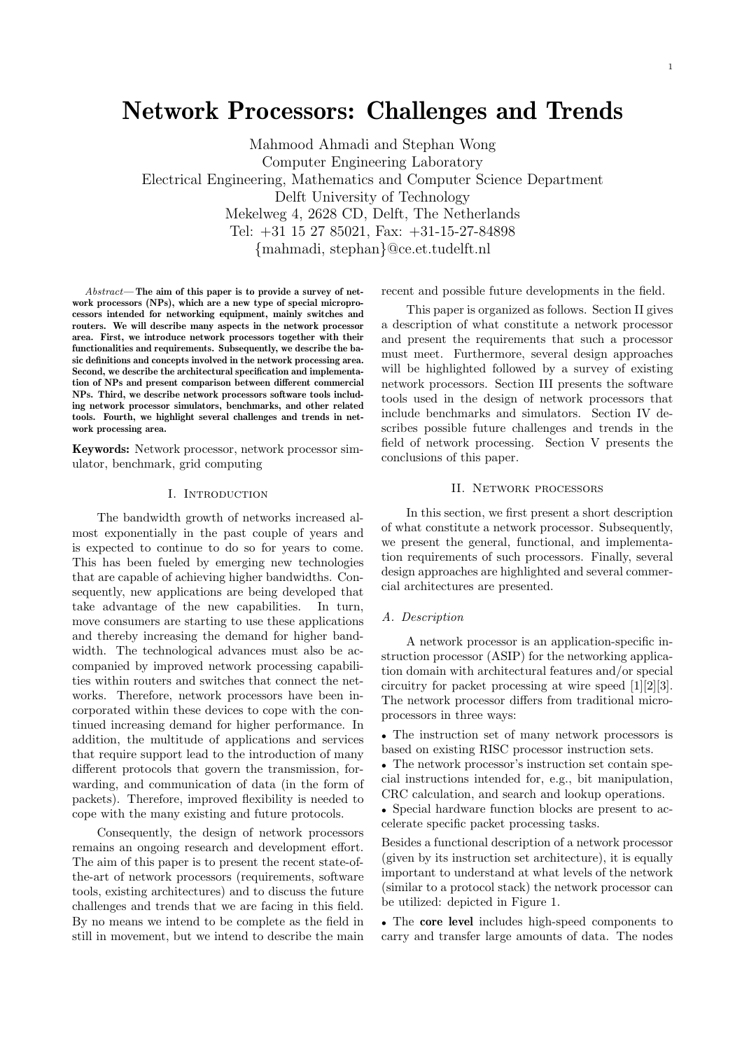# Network Processors: Challenges and Trends

Mahmood Ahmadi and Stephan Wong Computer Engineering Laboratory Electrical Engineering, Mathematics and Computer Science Department Delft University of Technology Mekelweg 4, 2628 CD, Delft, The Netherlands Tel: +31 15 27 85021, Fax: +31-15-27-84898 {mahmadi, stephan}@ce.et.tudelft.nl

Abstract— The aim of this paper is to provide a survey of network processors (NPs), which are a new type of special microprocessors intended for networking equipment, mainly switches and routers. We will describe many aspects in the network processor area. First, we introduce network processors together with their functionalities and requirements. Subsequently, we describe the basic definitions and concepts involved in the network processing area. Second, we describe the architectural specification and implementation of NPs and present comparison between different commercial NPs. Third, we describe network processors software tools including network processor simulators, benchmarks, and other related tools. Fourth, we highlight several challenges and trends in network processing area.

Keywords: Network processor, network processor simulator, benchmark, grid computing

## I. Introduction

The bandwidth growth of networks increased almost exponentially in the past couple of years and is expected to continue to do so for years to come. This has been fueled by emerging new technologies that are capable of achieving higher bandwidths. Consequently, new applications are being developed that take advantage of the new capabilities. In turn, move consumers are starting to use these applications and thereby increasing the demand for higher bandwidth. The technological advances must also be accompanied by improved network processing capabilities within routers and switches that connect the networks. Therefore, network processors have been incorporated within these devices to cope with the continued increasing demand for higher performance. In addition, the multitude of applications and services that require support lead to the introduction of many different protocols that govern the transmission, forwarding, and communication of data (in the form of packets). Therefore, improved flexibility is needed to cope with the many existing and future protocols.

Consequently, the design of network processors remains an ongoing research and development effort. The aim of this paper is to present the recent state-ofthe-art of network processors (requirements, software tools, existing architectures) and to discuss the future challenges and trends that we are facing in this field. By no means we intend to be complete as the field in still in movement, but we intend to describe the main recent and possible future developments in the field.

This paper is organized as follows. Section II gives a description of what constitute a network processor and present the requirements that such a processor must meet. Furthermore, several design approaches will be highlighted followed by a survey of existing network processors. Section III presents the software tools used in the design of network processors that include benchmarks and simulators. Section IV describes possible future challenges and trends in the field of network processing. Section V presents the conclusions of this paper.

# II. Network processors

In this section, we first present a short description of what constitute a network processor. Subsequently, we present the general, functional, and implementation requirements of such processors. Finally, several design approaches are highlighted and several commercial architectures are presented.

#### A. Description

A network processor is an application-specific instruction processor (ASIP) for the networking application domain with architectural features and/or special circuitry for packet processing at wire speed [1][2][3]. The network processor differs from traditional microprocessors in three ways:

• The instruction set of many network processors is based on existing RISC processor instruction sets.

• The network processor's instruction set contain special instructions intended for, e.g., bit manipulation, CRC calculation, and search and lookup operations.

• Special hardware function blocks are present to accelerate specific packet processing tasks.

Besides a functional description of a network processor (given by its instruction set architecture), it is equally important to understand at what levels of the network (similar to a protocol stack) the network processor can be utilized: depicted in Figure 1.

• The core level includes high-speed components to carry and transfer large amounts of data. The nodes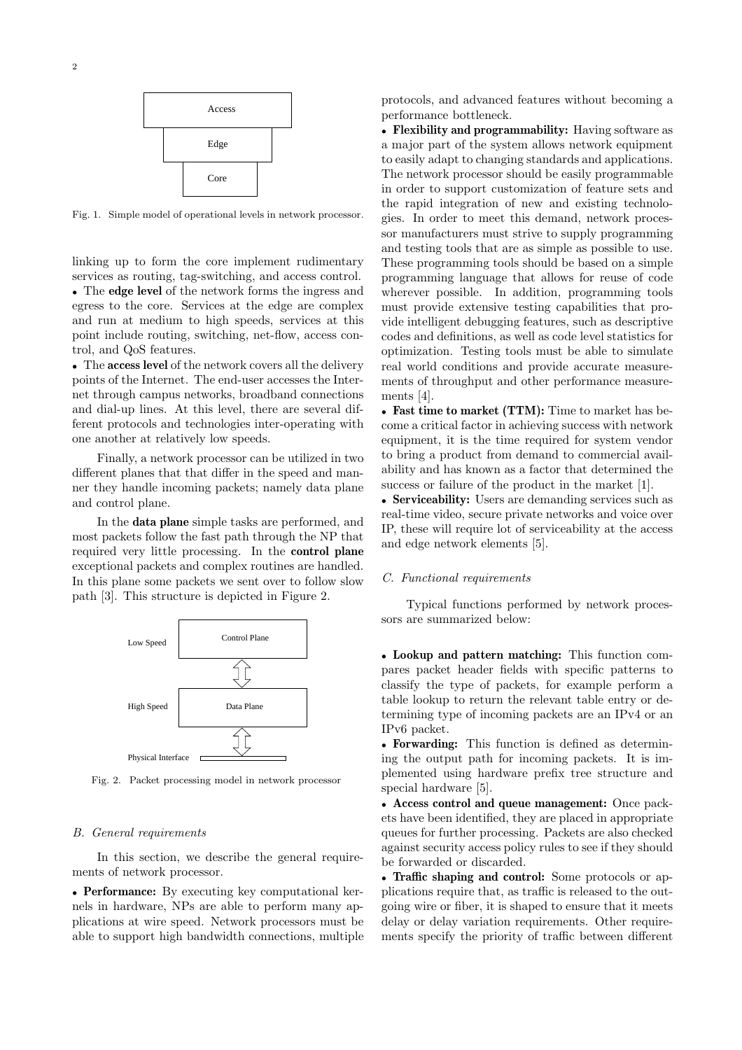

Fig. 1. Simple model of operational levels in network processor.

linking up to form the core implement rudimentary services as routing, tag-switching, and access control. • The edge level of the network forms the ingress and egress to the core. Services at the edge are complex and run at medium to high speeds, services at this point include routing, switching, net-flow, access control, and QoS features.

• The access level of the network covers all the delivery points of the Internet. The end-user accesses the Internet through campus networks, broadband connections and dial-up lines. At this level, there are several different protocols and technologies inter-operating with one another at relatively low speeds.

Finally, a network processor can be utilized in two different planes that that differ in the speed and manner they handle incoming packets; namely data plane and control plane.

In the data plane simple tasks are performed, and most packets follow the fast path through the NP that required very little processing. In the control plane exceptional packets and complex routines are handled. In this plane some packets we sent over to follow slow path [3]. This structure is depicted in Figure 2.



Fig. 2. Packet processing model in network processor

## B. General requirements

In this section, we describe the general requirements of network processor.

• Performance: By executing key computational kernels in hardware, NPs are able to perform many applications at wire speed. Network processors must be able to support high bandwidth connections, multiple protocols, and advanced features without becoming a performance bottleneck.

• Flexibility and programmability: Having software as a major part of the system allows network equipment to easily adapt to changing standards and applications. The network processor should be easily programmable in order to support customization of feature sets and the rapid integration of new and existing technologies. In order to meet this demand, network processor manufacturers must strive to supply programming and testing tools that are as simple as possible to use. These programming tools should be based on a simple programming language that allows for reuse of code wherever possible. In addition, programming tools must provide extensive testing capabilities that provide intelligent debugging features, such as descriptive codes and definitions, as well as code level statistics for optimization. Testing tools must be able to simulate real world conditions and provide accurate measurements of throughput and other performance measurements [4].

• Fast time to market (TTM): Time to market has become a critical factor in achieving success with network equipment, it is the time required for system vendor to bring a product from demand to commercial availability and has known as a factor that determined the success or failure of the product in the market [1].

• Serviceability: Users are demanding services such as real-time video, secure private networks and voice over IP, these will require lot of serviceability at the access and edge network elements [5].

## C. Functional requirements

Typical functions performed by network processors are summarized below:

• Lookup and pattern matching: This function compares packet header fields with specific patterns to classify the type of packets, for example perform a table lookup to return the relevant table entry or determining type of incoming packets are an IPv4 or an IPv6 packet.

• Forwarding: This function is defined as determining the output path for incoming packets. It is implemented using hardware prefix tree structure and special hardware [5].

• Access control and queue management: Once packets have been identified, they are placed in appropriate queues for further processing. Packets are also checked against security access policy rules to see if they should be forwarded or discarded.

• Traffic shaping and control: Some protocols or applications require that, as traffic is released to the outgoing wire or fiber, it is shaped to ensure that it meets delay or delay variation requirements. Other requirements specify the priority of traffic between different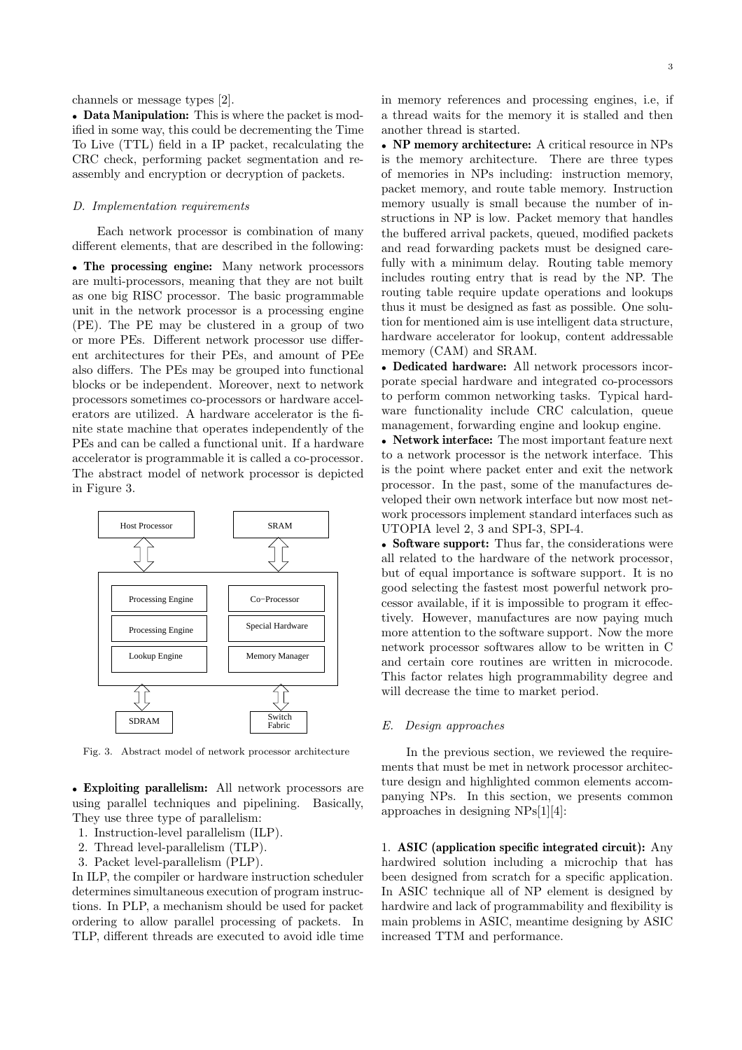channels or message types [2].

• Data Manipulation: This is where the packet is modified in some way, this could be decrementing the Time To Live (TTL) field in a IP packet, recalculating the CRC check, performing packet segmentation and reassembly and encryption or decryption of packets.

## D. Implementation requirements

Each network processor is combination of many different elements, that are described in the following:

• The processing engine: Many network processors are multi-processors, meaning that they are not built as one big RISC processor. The basic programmable unit in the network processor is a processing engine (PE). The PE may be clustered in a group of two or more PEs. Different network processor use different architectures for their PEs, and amount of PEe also differs. The PEs may be grouped into functional blocks or be independent. Moreover, next to network processors sometimes co-processors or hardware accelerators are utilized. A hardware accelerator is the finite state machine that operates independently of the PEs and can be called a functional unit. If a hardware accelerator is programmable it is called a co-processor. The abstract model of network processor is depicted in Figure 3.



Fig. 3. Abstract model of network processor architecture

• Exploiting parallelism: All network processors are using parallel techniques and pipelining. Basically, They use three type of parallelism:

- 1. Instruction-level parallelism (ILP).
- 2. Thread level-parallelism (TLP).
- 3. Packet level-parallelism (PLP).

In ILP, the compiler or hardware instruction scheduler determines simultaneous execution of program instructions. In PLP, a mechanism should be used for packet ordering to allow parallel processing of packets. In TLP, different threads are executed to avoid idle time in memory references and processing engines, i.e, if a thread waits for the memory it is stalled and then another thread is started.

• NP memory architecture: A critical resource in NPs is the memory architecture. There are three types of memories in NPs including: instruction memory, packet memory, and route table memory. Instruction memory usually is small because the number of instructions in NP is low. Packet memory that handles the buffered arrival packets, queued, modified packets and read forwarding packets must be designed carefully with a minimum delay. Routing table memory includes routing entry that is read by the NP. The routing table require update operations and lookups thus it must be designed as fast as possible. One solution for mentioned aim is use intelligent data structure, hardware accelerator for lookup, content addressable memory (CAM) and SRAM.

• Dedicated hardware: All network processors incorporate special hardware and integrated co-processors to perform common networking tasks. Typical hardware functionality include CRC calculation, queue management, forwarding engine and lookup engine.

• Network interface: The most important feature next to a network processor is the network interface. This is the point where packet enter and exit the network processor. In the past, some of the manufactures developed their own network interface but now most network processors implement standard interfaces such as UTOPIA level 2, 3 and SPI-3, SPI-4.

• Software support: Thus far, the considerations were all related to the hardware of the network processor, but of equal importance is software support. It is no good selecting the fastest most powerful network processor available, if it is impossible to program it effectively. However, manufactures are now paying much more attention to the software support. Now the more network processor softwares allow to be written in C and certain core routines are written in microcode. This factor relates high programmability degree and will decrease the time to market period.

#### E. Design approaches

In the previous section, we reviewed the requirements that must be met in network processor architecture design and highlighted common elements accompanying NPs. In this section, we presents common approaches in designing NPs[1][4]:

1. ASIC (application specific integrated circuit): Any hardwired solution including a microchip that has been designed from scratch for a specific application. In ASIC technique all of NP element is designed by hardwire and lack of programmability and flexibility is main problems in ASIC, meantime designing by ASIC increased TTM and performance.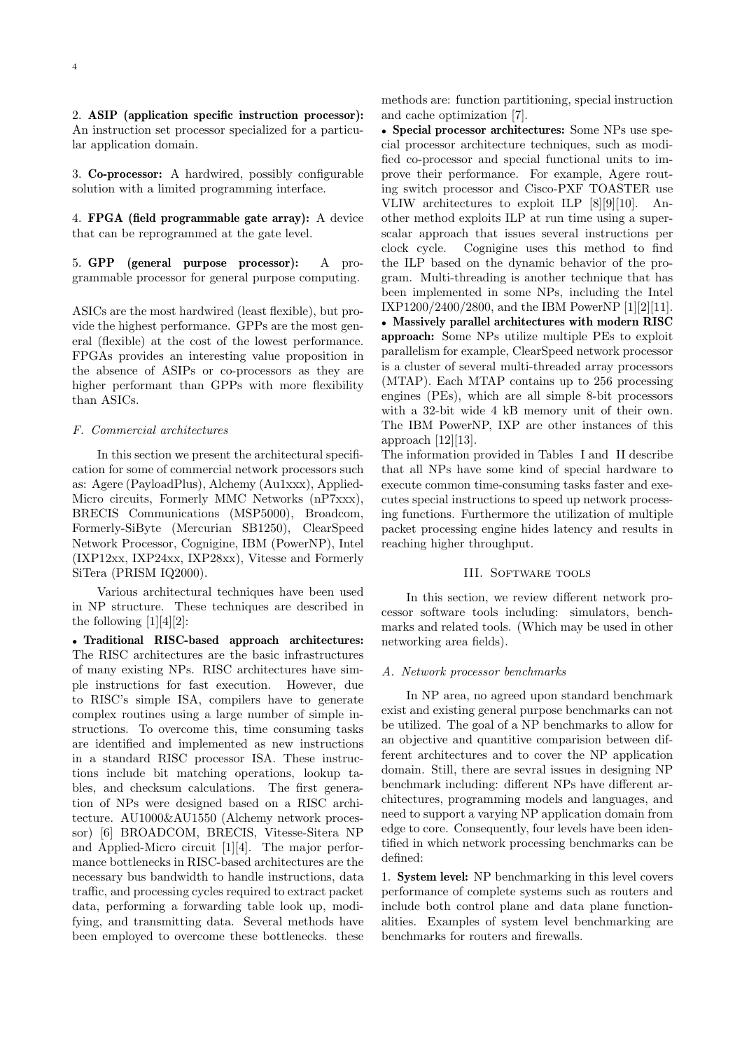2. ASIP (application specific instruction processor): An instruction set processor specialized for a particular application domain.

3. Co-processor: A hardwired, possibly configurable solution with a limited programming interface.

4. FPGA (field programmable gate array): A device that can be reprogrammed at the gate level.

5. GPP (general purpose processor): A programmable processor for general purpose computing.

ASICs are the most hardwired (least flexible), but provide the highest performance. GPPs are the most general (flexible) at the cost of the lowest performance. FPGAs provides an interesting value proposition in the absence of ASIPs or co-processors as they are higher performant than GPPs with more flexibility than ASICs.

# F. Commercial architectures

In this section we present the architectural specification for some of commercial network processors such as: Agere (PayloadPlus), Alchemy (Au1xxx), Applied-Micro circuits, Formerly MMC Networks (nP7xxx), BRECIS Communications (MSP5000), Broadcom, Formerly-SiByte (Mercurian SB1250), ClearSpeed Network Processor, Cognigine, IBM (PowerNP), Intel (IXP12xx, IXP24xx, IXP28xx), Vitesse and Formerly SiTera (PRISM IQ2000).

Various architectural techniques have been used in NP structure. These techniques are described in the following  $[1][4][2]$ :

• Traditional RISC-based approach architectures: The RISC architectures are the basic infrastructures of many existing NPs. RISC architectures have simple instructions for fast execution. However, due to RISC's simple ISA, compilers have to generate complex routines using a large number of simple instructions. To overcome this, time consuming tasks are identified and implemented as new instructions in a standard RISC processor ISA. These instructions include bit matching operations, lookup tables, and checksum calculations. The first generation of NPs were designed based on a RISC architecture. AU1000&AU1550 (Alchemy network processor) [6] BROADCOM, BRECIS, Vitesse-Sitera NP and Applied-Micro circuit [1][4]. The major performance bottlenecks in RISC-based architectures are the necessary bus bandwidth to handle instructions, data traffic, and processing cycles required to extract packet data, performing a forwarding table look up, modifying, and transmitting data. Several methods have been employed to overcome these bottlenecks. these methods are: function partitioning, special instruction and cache optimization [7].

• Special processor architectures: Some NPs use special processor architecture techniques, such as modified co-processor and special functional units to improve their performance. For example, Agere routing switch processor and Cisco-PXF TOASTER use VLIW architectures to exploit ILP [8][9][10]. Another method exploits ILP at run time using a superscalar approach that issues several instructions per clock cycle. Cognigine uses this method to find the ILP based on the dynamic behavior of the program. Multi-threading is another technique that has been implemented in some NPs, including the Intel IXP1200/2400/2800, and the IBM PowerNP [1][2][11].

• Massively parallel architectures with modern RISC approach: Some NPs utilize multiple PEs to exploit parallelism for example, ClearSpeed network processor is a cluster of several multi-threaded array processors (MTAP). Each MTAP contains up to 256 processing engines (PEs), which are all simple 8-bit processors with a 32-bit wide 4 kB memory unit of their own. The IBM PowerNP, IXP are other instances of this approach  $[12][13]$ .

The information provided in Tables I and II describe that all NPs have some kind of special hardware to execute common time-consuming tasks faster and executes special instructions to speed up network processing functions. Furthermore the utilization of multiple packet processing engine hides latency and results in reaching higher throughput.

## III. SOFTWARE TOOLS

In this section, we review different network processor software tools including: simulators, benchmarks and related tools. (Which may be used in other networking area fields).

# A. Network processor benchmarks

In NP area, no agreed upon standard benchmark exist and existing general purpose benchmarks can not be utilized. The goal of a NP benchmarks to allow for an objective and quantitive comparision between different architectures and to cover the NP application domain. Still, there are sevral issues in designing NP benchmark including: different NPs have different architectures, programming models and languages, and need to support a varying NP application domain from edge to core. Consequently, four levels have been identified in which network processing benchmarks can be defined:

1. System level: NP benchmarking in this level covers performance of complete systems such as routers and include both control plane and data plane functionalities. Examples of system level benchmarking are benchmarks for routers and firewalls.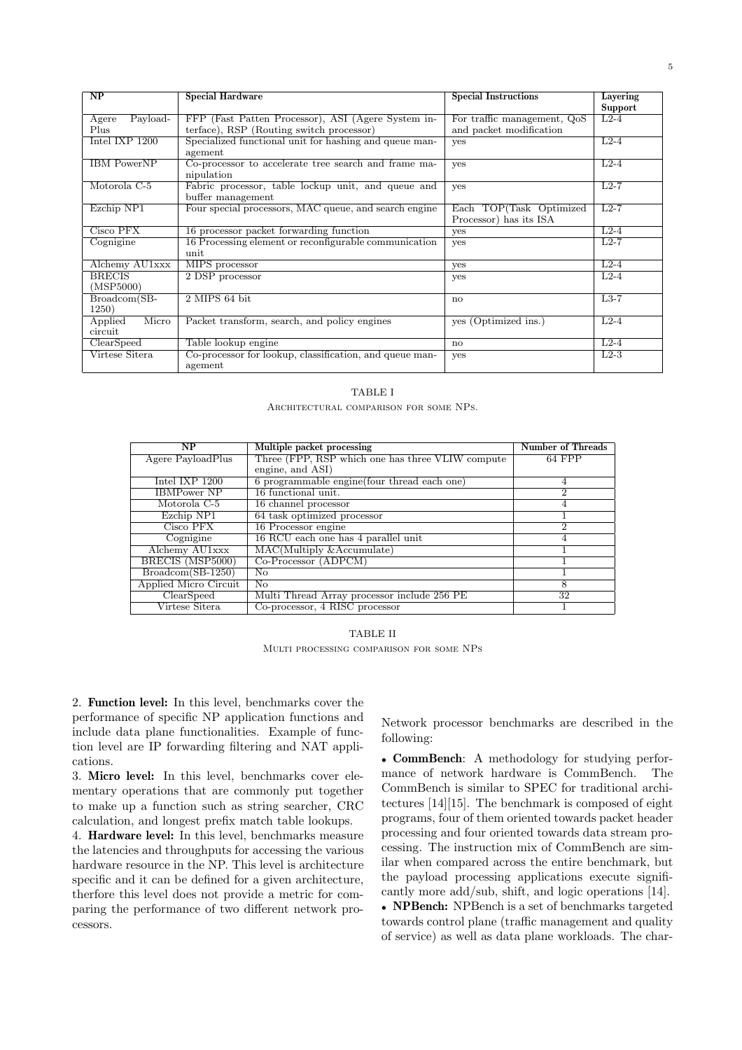| $\overline{\text{NP}}$ | <b>Special Hardware</b>                                 | <b>Special Instructions</b> | Layering  |
|------------------------|---------------------------------------------------------|-----------------------------|-----------|
|                        |                                                         |                             | Support   |
| Payload-<br>Agere      | FFP (Fast Patten Processor), ASI (Agere System in-      | For traffic management, QoS | $L2-4$    |
| Plus                   | terface), RSP (Routing switch processor)                | and packet modification     |           |
| Intel IXP $1200$       | Specialized functional unit for hashing and queue man-  | yes                         | $L2-4$    |
|                        | agement                                                 |                             |           |
| <b>IBM</b> PowerNP     | Co-processor to accelerate tree search and frame ma-    | yes                         | $L_{2-4}$ |
|                        | nipulation                                              |                             |           |
| Motorola C-5           | Fabric processor, table lockup unit, and queue and      | yes                         | $L2-7$    |
|                        | buffer management                                       |                             |           |
| Ezchip NP1             | Four special processors, MAC queue, and search engine   | Each TOP(Task Optimized     | $L2-7$    |
|                        |                                                         | Processor) has its ISA      |           |
| Cisco PFX              | 16 processor packet forwarding function                 | yes                         | $L2-4$    |
| Cognigine              | 16 Processing element or reconfigurable communication   | yes                         | $L2-7$    |
|                        | unit                                                    |                             |           |
| Alchemy AU1xxx         | MIPS processor                                          | <b>ves</b>                  | $L2-4$    |
| <b>BRECIS</b>          | 2 DSP processor                                         | yes                         | $L2-4$    |
| (MSP5000)              |                                                         |                             |           |
| Broadcom(SB-           | 2 MIPS 64 bit                                           | $\mathbf{n}$                | $L3-7$    |
| 1250)                  |                                                         |                             |           |
| Micro<br>Applied       | Packet transform, search, and policy engines            | yes (Optimized ins.)        | $L2-4$    |
| circuit                |                                                         |                             |           |
| ClearSpeed             | Table lookup engine                                     | no                          | $L2-4$    |
| Virtese Sitera         | Co-processor for lookup, classification, and queue man- | yes                         | $L2-3$    |
|                        | agement                                                 |                             |           |

|                                        | TABLE I |  |  |
|----------------------------------------|---------|--|--|
| ARCHITECTURAL COMPARISON FOR SOME NPS. |         |  |  |

| NP                    | Multiple packet processing                       | <b>Number of Threads</b> |
|-----------------------|--------------------------------------------------|--------------------------|
| Agere PayloadPlus     | Three (FPP, RSP which one has three VLIW compute | $64$ FPP                 |
|                       | engine, and ASI)                                 |                          |
| Intel IXP 1200        | 6 programmable engine (four thread each one)     | 4                        |
| <b>IBMPower NP</b>    | 16 functional unit.                              | 2                        |
| Motorola C-5          | 16 channel processor                             | 4                        |
| Ezchip NP1            | 64 task optimized processor                      |                          |
| Cisco PFX             | 16 Processor engine                              | 2                        |
| Cognigine             | 16 RCU each one has 4 parallel unit              | 4                        |
| Alchemy AU1xxx        | MAC(Multiply & Accumulate)                       |                          |
| BRECIS (MSP5000)      | Co-Processor (ADPCM)                             |                          |
| $Broadcom(SB-1250)$   | No.                                              |                          |
| Applied Micro Circuit | $\overline{No}$                                  | 8                        |
| ClearSpeed            | Multi Thread Array processor include 256 PE      | 32                       |
| Virtese Sitera        | Co-processor, 4 RISC processor                   |                          |

TABLE II Multi processing comparison for some NPs

2. Function level: In this level, benchmarks cover the performance of specific NP application functions and include data plane functionalities. Example of function level are IP forwarding filtering and NAT applications.

3. Micro level: In this level, benchmarks cover elementary operations that are commonly put together to make up a function such as string searcher, CRC calculation, and longest prefix match table lookups.

4. Hardware level: In this level, benchmarks measure the latencies and throughputs for accessing the various hardware resource in the NP. This level is architecture specific and it can be defined for a given architecture, therfore this level does not provide a metric for comparing the performance of two different network processors.

Network processor benchmarks are described in the following:

• CommBench: A methodology for studying performance of network hardware is CommBench. The CommBench is similar to SPEC for traditional architectures [14][15]. The benchmark is composed of eight programs, four of them oriented towards packet header processing and four oriented towards data stream processing. The instruction mix of CommBench are similar when compared across the entire benchmark, but the payload processing applications execute significantly more add/sub, shift, and logic operations [14]. • NPBench: NPBench is a set of benchmarks targeted towards control plane (traffic management and quality of service) as well as data plane workloads. The char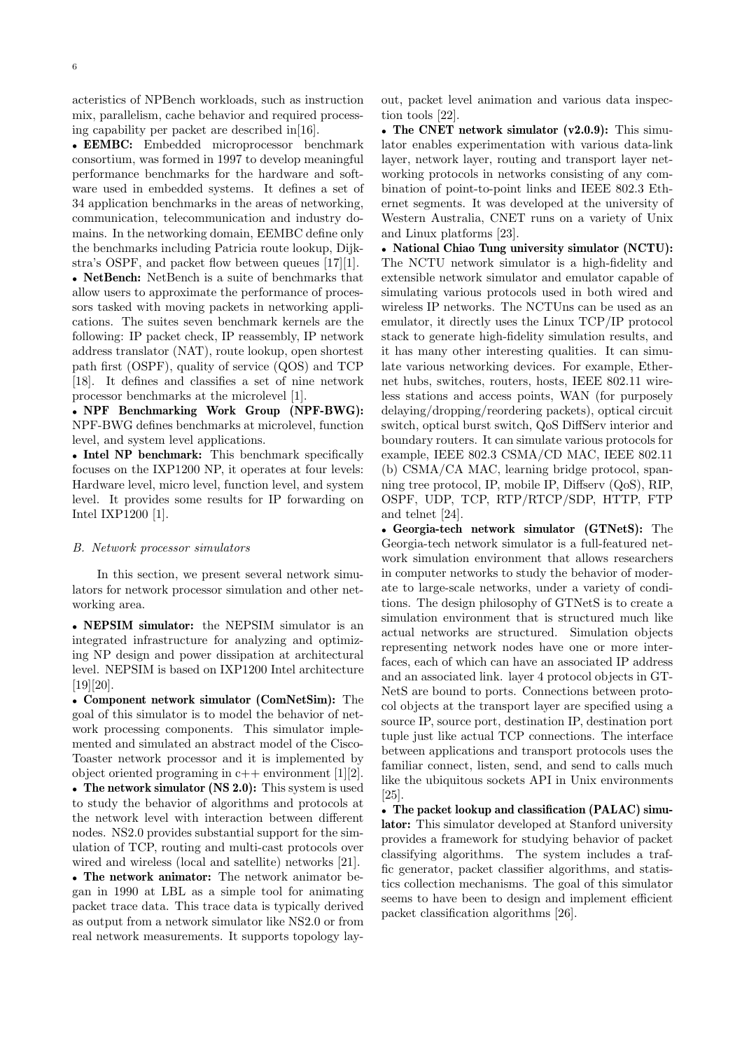acteristics of NPBench workloads, such as instruction mix, parallelism, cache behavior and required processing capability per packet are described in[16].

• EEMBC: Embedded microprocessor benchmark consortium, was formed in 1997 to develop meaningful performance benchmarks for the hardware and software used in embedded systems. It defines a set of 34 application benchmarks in the areas of networking, communication, telecommunication and industry domains. In the networking domain, EEMBC define only the benchmarks including Patricia route lookup, Dijkstra's OSPF, and packet flow between queues [17][1].

• NetBench: NetBench is a suite of benchmarks that allow users to approximate the performance of processors tasked with moving packets in networking applications. The suites seven benchmark kernels are the following: IP packet check, IP reassembly, IP network address translator (NAT), route lookup, open shortest path first (OSPF), quality of service (QOS) and TCP [18]. It defines and classifies a set of nine network processor benchmarks at the microlevel [1].

• NPF Benchmarking Work Group (NPF-BWG): NPF-BWG defines benchmarks at microlevel, function level, and system level applications.

• Intel NP benchmark: This benchmark specifically focuses on the IXP1200 NP, it operates at four levels: Hardware level, micro level, function level, and system level. It provides some results for IP forwarding on Intel IXP1200 [1].

#### B. Network processor simulators

In this section, we present several network simulators for network processor simulation and other networking area.

• NEPSIM simulator: the NEPSIM simulator is an integrated infrastructure for analyzing and optimizing NP design and power dissipation at architectural level. NEPSIM is based on IXP1200 Intel architecture [19][20].

• Component network simulator (ComNetSim): The goal of this simulator is to model the behavior of network processing components. This simulator implemented and simulated an abstract model of the Cisco-Toaster network processor and it is implemented by object oriented programing in  $c++$  environment [1][2].

• The network simulator (NS 2.0): This system is used to study the behavior of algorithms and protocols at the network level with interaction between different nodes. NS2.0 provides substantial support for the simulation of TCP, routing and multi-cast protocols over wired and wireless (local and satellite) networks [21].

• The network animator: The network animator began in 1990 at LBL as a simple tool for animating packet trace data. This trace data is typically derived as output from a network simulator like NS2.0 or from real network measurements. It supports topology layout, packet level animation and various data inspection tools [22].

• The CNET network simulator (v2.0.9): This simulator enables experimentation with various data-link layer, network layer, routing and transport layer networking protocols in networks consisting of any combination of point-to-point links and IEEE 802.3 Ethernet segments. It was developed at the university of Western Australia, CNET runs on a variety of Unix and Linux platforms [23].

• National Chiao Tung university simulator (NCTU): The NCTU network simulator is a high-fidelity and extensible network simulator and emulator capable of simulating various protocols used in both wired and wireless IP networks. The NCTUns can be used as an emulator, it directly uses the Linux TCP/IP protocol stack to generate high-fidelity simulation results, and it has many other interesting qualities. It can simulate various networking devices. For example, Ethernet hubs, switches, routers, hosts, IEEE 802.11 wireless stations and access points, WAN (for purposely delaying/dropping/reordering packets), optical circuit switch, optical burst switch, QoS DiffServ interior and boundary routers. It can simulate various protocols for example, IEEE 802.3 CSMA/CD MAC, IEEE 802.11 (b) CSMA/CA MAC, learning bridge protocol, spanning tree protocol, IP, mobile IP, Diffserv (QoS), RIP, OSPF, UDP, TCP, RTP/RTCP/SDP, HTTP, FTP and telnet [24].

• Georgia-tech network simulator (GTNetS): The Georgia-tech network simulator is a full-featured network simulation environment that allows researchers in computer networks to study the behavior of moderate to large-scale networks, under a variety of conditions. The design philosophy of GTNetS is to create a simulation environment that is structured much like actual networks are structured. Simulation objects representing network nodes have one or more interfaces, each of which can have an associated IP address and an associated link. layer 4 protocol objects in GT-NetS are bound to ports. Connections between protocol objects at the transport layer are specified using a source IP, source port, destination IP, destination port tuple just like actual TCP connections. The interface between applications and transport protocols uses the familiar connect, listen, send, and send to calls much like the ubiquitous sockets API in Unix environments [25].

• The packet lookup and classification (PALAC) simulator: This simulator developed at Stanford university provides a framework for studying behavior of packet classifying algorithms. The system includes a traffic generator, packet classifier algorithms, and statistics collection mechanisms. The goal of this simulator seems to have been to design and implement efficient packet classification algorithms [26].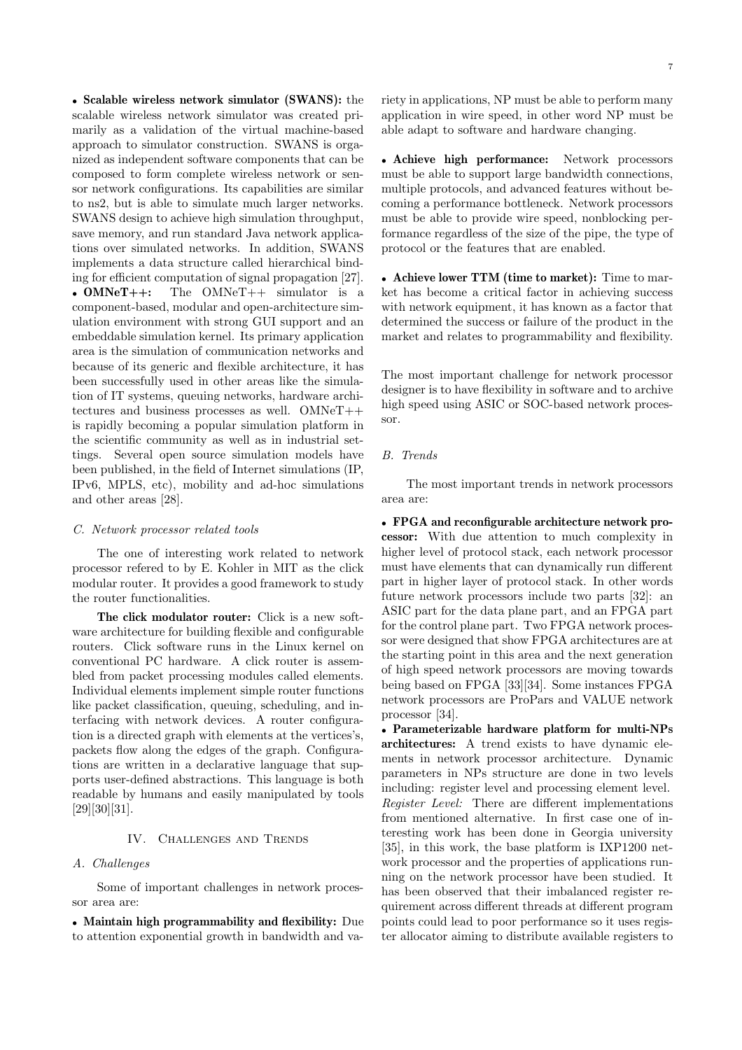• Scalable wireless network simulator (SWANS): the scalable wireless network simulator was created primarily as a validation of the virtual machine-based approach to simulator construction. SWANS is organized as independent software components that can be composed to form complete wireless network or sensor network configurations. Its capabilities are similar to ns2, but is able to simulate much larger networks. SWANS design to achieve high simulation throughput, save memory, and run standard Java network applications over simulated networks. In addition, SWANS implements a data structure called hierarchical binding for efficient computation of signal propagation [27]. • OMNeT++: The OMNeT++ simulator is a component-based, modular and open-architecture simulation environment with strong GUI support and an embeddable simulation kernel. Its primary application area is the simulation of communication networks and because of its generic and flexible architecture, it has been successfully used in other areas like the simulation of IT systems, queuing networks, hardware architectures and business processes as well. OMNeT++ is rapidly becoming a popular simulation platform in the scientific community as well as in industrial settings. Several open source simulation models have been published, in the field of Internet simulations (IP, IPv6, MPLS, etc), mobility and ad-hoc simulations and other areas [28].

#### C. Network processor related tools

The one of interesting work related to network processor refered to by E. Kohler in MIT as the click modular router. It provides a good framework to study the router functionalities.

The click modulator router: Click is a new software architecture for building flexible and configurable routers. Click software runs in the Linux kernel on conventional PC hardware. A click router is assembled from packet processing modules called elements. Individual elements implement simple router functions like packet classification, queuing, scheduling, and interfacing with network devices. A router configuration is a directed graph with elements at the vertices's, packets flow along the edges of the graph. Configurations are written in a declarative language that supports user-defined abstractions. This language is both readable by humans and easily manipulated by tools [29][30][31].

#### IV. Challenges and Trends

### A. Challenges

Some of important challenges in network processor area are:

• Maintain high programmability and flexibility: Due to attention exponential growth in bandwidth and variety in applications, NP must be able to perform many application in wire speed, in other word NP must be able adapt to software and hardware changing.

• Achieve high performance: Network processors must be able to support large bandwidth connections, multiple protocols, and advanced features without becoming a performance bottleneck. Network processors must be able to provide wire speed, nonblocking performance regardless of the size of the pipe, the type of protocol or the features that are enabled.

• Achieve lower TTM (time to market): Time to market has become a critical factor in achieving success with network equipment, it has known as a factor that determined the success or failure of the product in the market and relates to programmability and flexibility.

The most important challenge for network processor designer is to have flexibility in software and to archive high speed using ASIC or SOC-based network processor.

#### B. Trends

The most important trends in network processors area are:

• FPGA and reconfigurable architecture network processor: With due attention to much complexity in higher level of protocol stack, each network processor must have elements that can dynamically run different part in higher layer of protocol stack. In other words future network processors include two parts [32]: an ASIC part for the data plane part, and an FPGA part for the control plane part. Two FPGA network processor were designed that show FPGA architectures are at the starting point in this area and the next generation of high speed network processors are moving towards being based on FPGA [33][34]. Some instances FPGA network processors are ProPars and VALUE network processor [34].

• Parameterizable hardware platform for multi-NPs architectures: A trend exists to have dynamic elements in network processor architecture. Dynamic parameters in NPs structure are done in two levels including: register level and processing element level. Register Level: There are different implementations from mentioned alternative. In first case one of interesting work has been done in Georgia university [35], in this work, the base platform is IXP1200 network processor and the properties of applications running on the network processor have been studied. It has been observed that their imbalanced register requirement across different threads at different program points could lead to poor performance so it uses register allocator aiming to distribute available registers to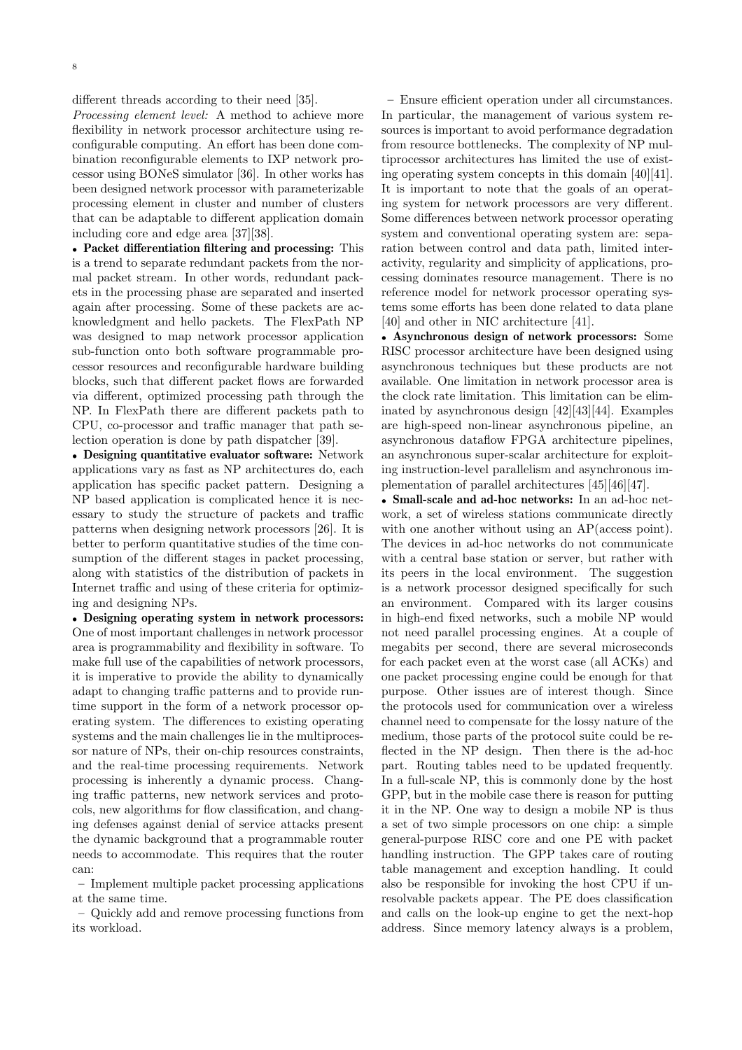different threads according to their need [35].

Processing element level: A method to achieve more flexibility in network processor architecture using reconfigurable computing. An effort has been done combination reconfigurable elements to IXP network processor using BONeS simulator [36]. In other works has been designed network processor with parameterizable processing element in cluster and number of clusters that can be adaptable to different application domain including core and edge area [37][38].

• Packet differentiation filtering and processing: This is a trend to separate redundant packets from the normal packet stream. In other words, redundant packets in the processing phase are separated and inserted again after processing. Some of these packets are acknowledgment and hello packets. The FlexPath NP was designed to map network processor application sub-function onto both software programmable processor resources and reconfigurable hardware building blocks, such that different packet flows are forwarded via different, optimized processing path through the NP. In FlexPath there are different packets path to CPU, co-processor and traffic manager that path selection operation is done by path dispatcher [39].

• Designing quantitative evaluator software: Network applications vary as fast as NP architectures do, each application has specific packet pattern. Designing a NP based application is complicated hence it is necessary to study the structure of packets and traffic patterns when designing network processors [26]. It is better to perform quantitative studies of the time consumption of the different stages in packet processing, along with statistics of the distribution of packets in Internet traffic and using of these criteria for optimizing and designing NPs.

• Designing operating system in network processors: One of most important challenges in network processor area is programmability and flexibility in software. To make full use of the capabilities of network processors, it is imperative to provide the ability to dynamically adapt to changing traffic patterns and to provide runtime support in the form of a network processor operating system. The differences to existing operating systems and the main challenges lie in the multiprocessor nature of NPs, their on-chip resources constraints, and the real-time processing requirements. Network processing is inherently a dynamic process. Changing traffic patterns, new network services and protocols, new algorithms for flow classification, and changing defenses against denial of service attacks present the dynamic background that a programmable router needs to accommodate. This requires that the router can:

– Implement multiple packet processing applications at the same time.

– Quickly add and remove processing functions from its workload.

– Ensure efficient operation under all circumstances. In particular, the management of various system resources is important to avoid performance degradation from resource bottlenecks. The complexity of NP multiprocessor architectures has limited the use of existing operating system concepts in this domain [40][41]. It is important to note that the goals of an operating system for network processors are very different. Some differences between network processor operating system and conventional operating system are: separation between control and data path, limited interactivity, regularity and simplicity of applications, processing dominates resource management. There is no reference model for network processor operating systems some efforts has been done related to data plane [40] and other in NIC architecture [41].

• Asynchronous design of network processors: Some RISC processor architecture have been designed using asynchronous techniques but these products are not available. One limitation in network processor area is the clock rate limitation. This limitation can be eliminated by asynchronous design [42][43][44]. Examples are high-speed non-linear asynchronous pipeline, an asynchronous dataflow FPGA architecture pipelines, an asynchronous super-scalar architecture for exploiting instruction-level parallelism and asynchronous implementation of parallel architectures [45][46][47].

• Small-scale and ad-hoc networks: In an ad-hoc network, a set of wireless stations communicate directly with one another without using an AP(access point). The devices in ad-hoc networks do not communicate with a central base station or server, but rather with its peers in the local environment. The suggestion is a network processor designed specifically for such an environment. Compared with its larger cousins in high-end fixed networks, such a mobile NP would not need parallel processing engines. At a couple of megabits per second, there are several microseconds for each packet even at the worst case (all ACKs) and one packet processing engine could be enough for that purpose. Other issues are of interest though. Since the protocols used for communication over a wireless channel need to compensate for the lossy nature of the medium, those parts of the protocol suite could be reflected in the NP design. Then there is the ad-hoc part. Routing tables need to be updated frequently. In a full-scale NP, this is commonly done by the host GPP, but in the mobile case there is reason for putting it in the NP. One way to design a mobile NP is thus a set of two simple processors on one chip: a simple general-purpose RISC core and one PE with packet handling instruction. The GPP takes care of routing table management and exception handling. It could also be responsible for invoking the host CPU if unresolvable packets appear. The PE does classification and calls on the look-up engine to get the next-hop address. Since memory latency always is a problem,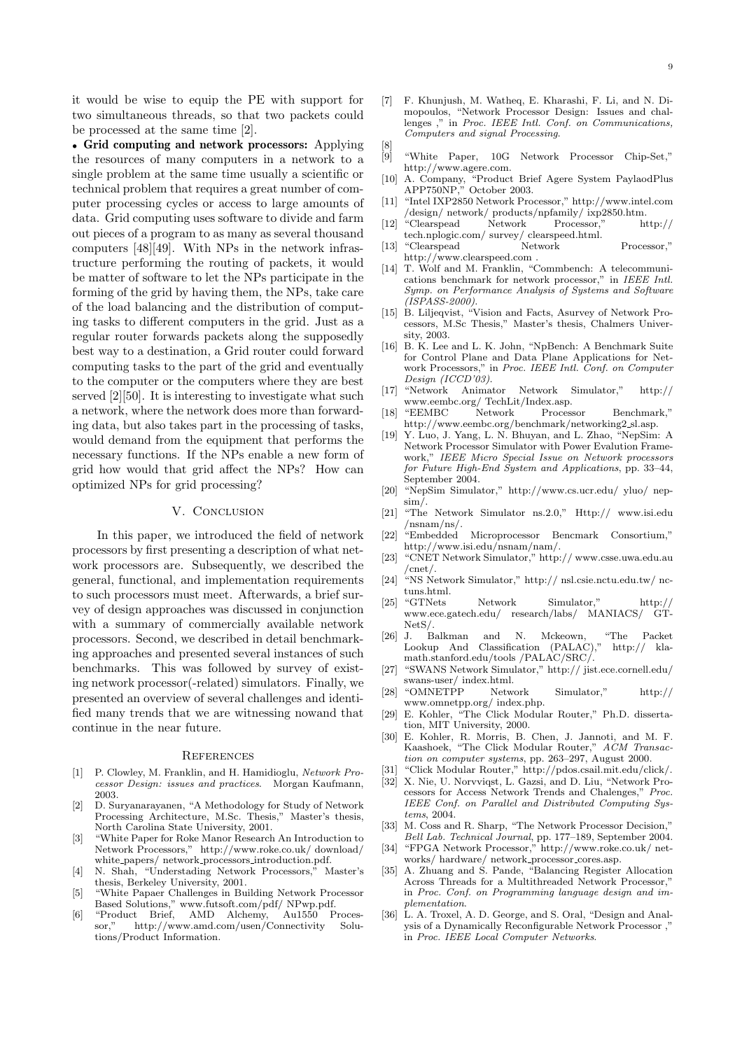it would be wise to equip the PE with support for two simultaneous threads, so that two packets could be processed at the same time [2].

• Grid computing and network processors: Applying the resources of many computers in a network to a single problem at the same time usually a scientific or technical problem that requires a great number of computer processing cycles or access to large amounts of data. Grid computing uses software to divide and farm out pieces of a program to as many as several thousand computers [48][49]. With NPs in the network infrastructure performing the routing of packets, it would be matter of software to let the NPs participate in the forming of the grid by having them, the NPs, take care of the load balancing and the distribution of computing tasks to different computers in the grid. Just as a regular router forwards packets along the supposedly best way to a destination, a Grid router could forward computing tasks to the part of the grid and eventually to the computer or the computers where they are best served [2][50]. It is interesting to investigate what such a network, where the network does more than forwarding data, but also takes part in the processing of tasks, would demand from the equipment that performs the necessary functions. If the NPs enable a new form of grid how would that grid affect the NPs? How can optimized NPs for grid processing?

# V. CONCLUSION

In this paper, we introduced the field of network processors by first presenting a description of what network processors are. Subsequently, we described the general, functional, and implementation requirements to such processors must meet. Afterwards, a brief survey of design approaches was discussed in conjunction with a summary of commercially available network processors. Second, we described in detail benchmarking approaches and presented several instances of such benchmarks. This was followed by survey of existing network processor(-related) simulators. Finally, we presented an overview of several challenges and identified many trends that we are witnessing nowand that continue in the near future.

#### **REFERENCES**

- [1] P. Clowley, M. Franklin, and H. Hamidioglu, Network Processor Design: issues and practices. Morgan Kaufmann, 2003.
- [2] D. Suryanarayanen, "A Methodology for Study of Network Processing Architecture, M.Sc. Thesis," Master's thesis, North Carolina State University, 2001.
- [3] "White Paper for Roke Manor Research An Introduction to Network Processors," http://www.roke.co.uk/ download/ white papers/ network processors introduction.pdf.
- [4] N. Shah, "Understading Network Processors," Master's thesis, Berkeley University, 2001.
- [5] "White Papaer Challenges in Building Network Processor Based Solutions," www.futsoft.com/pdf/ NPwp.pdf.
- [6] "Product Brief, AMD Alchemy, Au1550 Processor," http://www.amd.com/usen/Connectivity Solutions/Product Information.
- [7] F. Khunjush, M. Watheq, E. Kharashi, F. Li, and N. Dimopoulos, "Network Processor Design: Issues and challenges ," in Proc. IEEE Intl. Conf. on Communications, Computers and signal Processing. [8]
- [9] "White Paper, 10G Network Processor Chip-Set," http://www.agere.com.
- [10] A. Company, "Product Brief Agere System PaylaodPlus APP750NP," October 2003.
- [11] "Intel IXP2850 Network Processor," http://www.intel.com /design/ network/ products/npfamily/ ixp2850.htm.
- [12] "Clearspead Network Processor," http:// tech.nplogic.com/ survey/ clearspeed.html.
- [13] "Clearspead Network Processor," http://www.clearspeed.com .
- [14] T. Wolf and M. Franklin, "Commbench: A telecommunications benchmark for network processor," in IEEE Intl. Symp. on Performance Analysis of Systems and Software  $(ISPASS-2000)$
- [15] B. Liljeqvist, "Vision and Facts, Asurvey of Network Processors, M.Sc Thesis," Master's thesis, Chalmers University, 2003.
- [16] B. K. Lee and L. K. John, "NpBench: A Benchmark Suite for Control Plane and Data Plane Applications for Network Processors," in Proc. IEEE Intl. Conf. on Computer Design (ICCD'03).
- [17] "Network Animator Network Simulator," http:// www.eembc.org/ TechLit/Index.asp.
- [18] "EEMBC Network Processor Benchmark," http://www.eembc.org/benchmark/networking2 sl.asp.
- [19] Y. Luo, J. Yang, L. N. Bhuyan, and L. Zhao, "NepSim: A Network Processor Simulator with Power Evalution Framework," IEEE Micro Special Issue on Network processors for Future High-End System and Applications, pp. 33–44, September 2004.
- [20] "NepSim Simulator," http://www.cs.ucr.edu/ yluo/ nepsim/.
- [21] "The Network Simulator ns.2.0," Http:// www.isi.edu /nsnam/ns/.
- [22] "Embedded Microprocessor Bencmark Consortium," http://www.isi.edu/nsnam/nam/.
- [23] "CNET Network Simulator," http:// www.csse.uwa.edu.au /cnet/.
- [24] "NS Network Simulator," http:// nsl.csie.nctu.edu.tw/ nctuns.html.<br>"GTNets
- [25] "GTNets Network Simulator," http:// www.ece.gatech.edu/ research/labs/ MANIACS/ GT-Net<sub>S</sub>/
- [26] J. Balkman and N. Mckeown, "The Packet Lookup And Classification  $(PALAC)$ ," math.stanford.edu/tools /PALAC/SRC/.
- [27] "SWANS Network Simulator," http:// jist.ece.cornell.edu/ swans-user/ index.html.
- [28] "OMNETPP Network Simulator," http:// www.omnetpp.org/ index.php.
- [29] E. Kohler, "The Click Modular Router," Ph.D. dissertation, MIT University, 2000.
- [30] E. Kohler, R. Morris, B. Chen, J. Jannoti, and M. F. Kaashoek, "The Click Modular Router," ACM Transaction on computer systems, pp. 263–297, August 2000.
- [31] "Click Modular Router," http://pdos.csail.mit.edu/click/.
- [32] X. Nie, U. Norvviqst, L. Gazsi, and D. Liu, "Network Processors for Access Network Trends and Chalenges," Proc. IEEE Conf. on Parallel and Distributed Computing Systems, 2004.
- [33] M. Coss and R. Sharp, "The Network Processor Decision," Bell Lab. Technical Journal, pp. 177–189, September 2004.
- [34] "FPGA Network Processor," http://www.roke.co.uk/ networks/ hardware/ network processor cores.asp.
- [35] A. Zhuang and S. Pande, "Balancing Register Allocation Across Threads for a Multithreaded Network Processor," in Proc. Conf. on Programming language design and implementation.
- [36] L. A. Troxel, A. D. George, and S. Oral, "Design and Analysis of a Dynamically Reconfigurable Network Processor ," in Proc. IEEE Local Computer Networks.